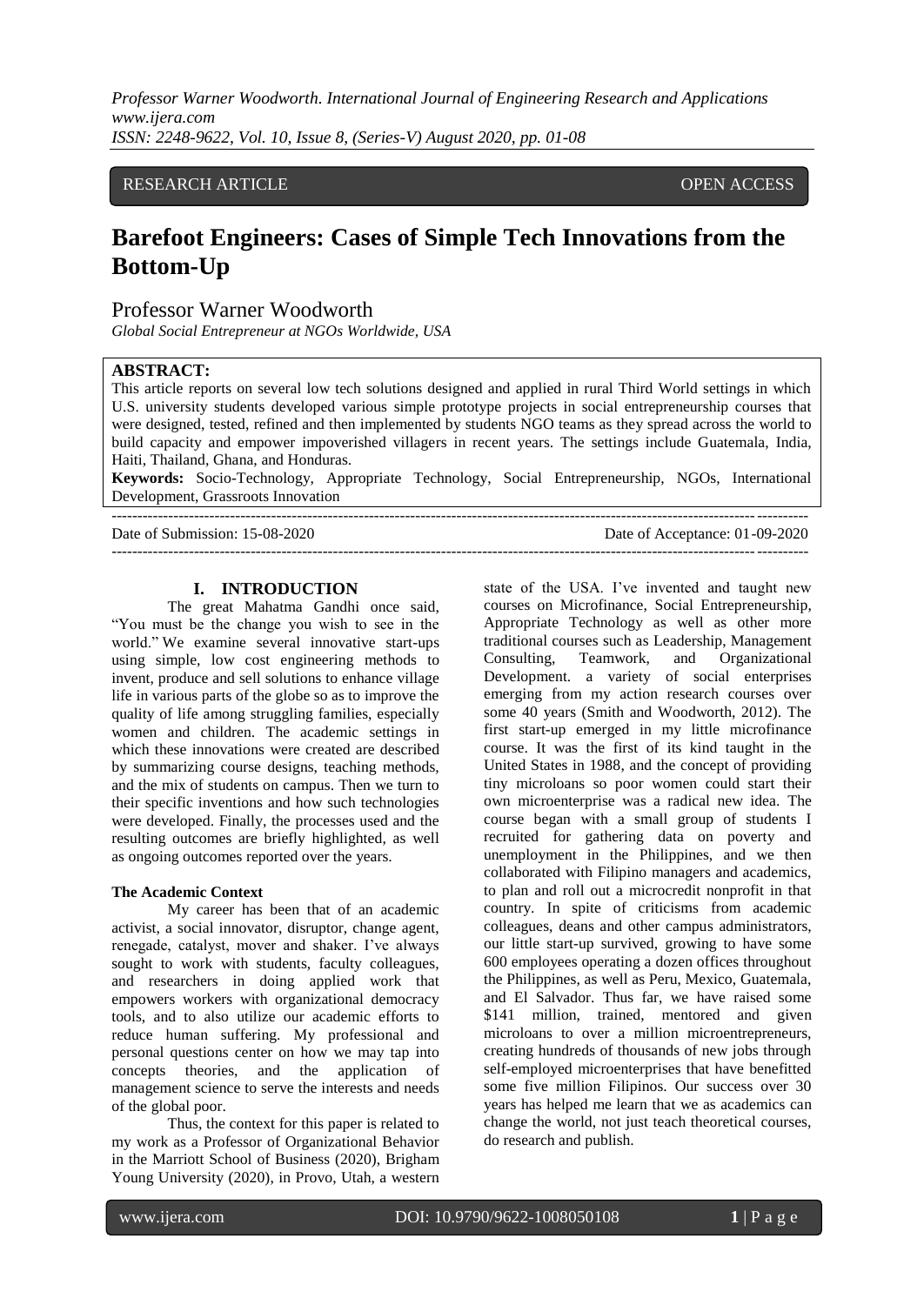### RESEARCH ARTICLE **CONSERVANCE OPEN ACCESS**

# **Barefoot Engineers: Cases of Simple Tech Innovations from the Bottom-Up**

## Professor Warner Woodworth

*Global Social Entrepreneur at NGOs Worldwide, USA*

#### **ABSTRACT:**

This article reports on several low tech solutions designed and applied in rural Third World settings in which U.S. university students developed various simple prototype projects in social entrepreneurship courses that were designed, tested, refined and then implemented by students NGO teams as they spread across the world to build capacity and empower impoverished villagers in recent years. The settings include Guatemala, India, Haiti, Thailand, Ghana, and Honduras.

**Keywords:** Socio-Technology, Appropriate Technology, Social Entrepreneurship, NGOs, International Development, Grassroots Innovation ---------------------------------------------------------------------------------------------------------------------------------------

---------------------------------------------------------------------------------------------------------------------------------------

Date of Submission: 15-08-2020 Date of Acceptance: 01-09-2020

#### **I. INTRODUCTION**

The great Mahatma Gandhi once said, "You must be the change you wish to see in the world." We examine several innovative start-ups using simple, low cost engineering methods to invent, produce and sell solutions to enhance village life in various parts of the globe so as to improve the quality of life among struggling families, especially women and children. The academic settings in which these innovations were created are described by summarizing course designs, teaching methods, and the mix of students on campus. Then we turn to their specific inventions and how such technologies were developed. Finally, the processes used and the resulting outcomes are briefly highlighted, as well as ongoing outcomes reported over the years.

#### **The Academic Context**

My career has been that of an academic activist, a social innovator, disruptor, change agent, renegade, catalyst, mover and shaker. I've always sought to work with students, faculty colleagues, and researchers in doing applied work that empowers workers with organizational democracy tools, and to also utilize our academic efforts to reduce human suffering. My professional and personal questions center on how we may tap into concepts theories, and the application of management science to serve the interests and needs of the global poor.

Thus, the context for this paper is related to my work as a Professor of Organizational Behavior in the Marriott School of Business (2020), Brigham Young University (2020), in Provo, Utah, a western state of the USA. I've invented and taught new courses on Microfinance, Social Entrepreneurship, Appropriate Technology as well as other more traditional courses such as Leadership, Management Consulting, Teamwork, and Organizational Development. a variety of social enterprises emerging from my action research courses over some 40 years (Smith and Woodworth, 2012). The first start-up emerged in my little microfinance course. It was the first of its kind taught in the United States in 1988, and the concept of providing tiny microloans so poor women could start their own microenterprise was a radical new idea. The course began with a small group of students I recruited for gathering data on poverty and unemployment in the Philippines, and we then collaborated with Filipino managers and academics, to plan and roll out a microcredit nonprofit in that country. In spite of criticisms from academic colleagues, deans and other campus administrators, our little start-up survived, growing to have some 600 employees operating a dozen offices throughout the Philippines, as well as Peru, Mexico, Guatemala, and El Salvador. Thus far, we have raised some \$141 million, trained, mentored and given microloans to over a million microentrepreneurs, creating hundreds of thousands of new jobs through self-employed microenterprises that have benefitted some five million Filipinos. Our success over 30 years has helped me learn that we as academics can change the world, not just teach theoretical courses, do research and publish.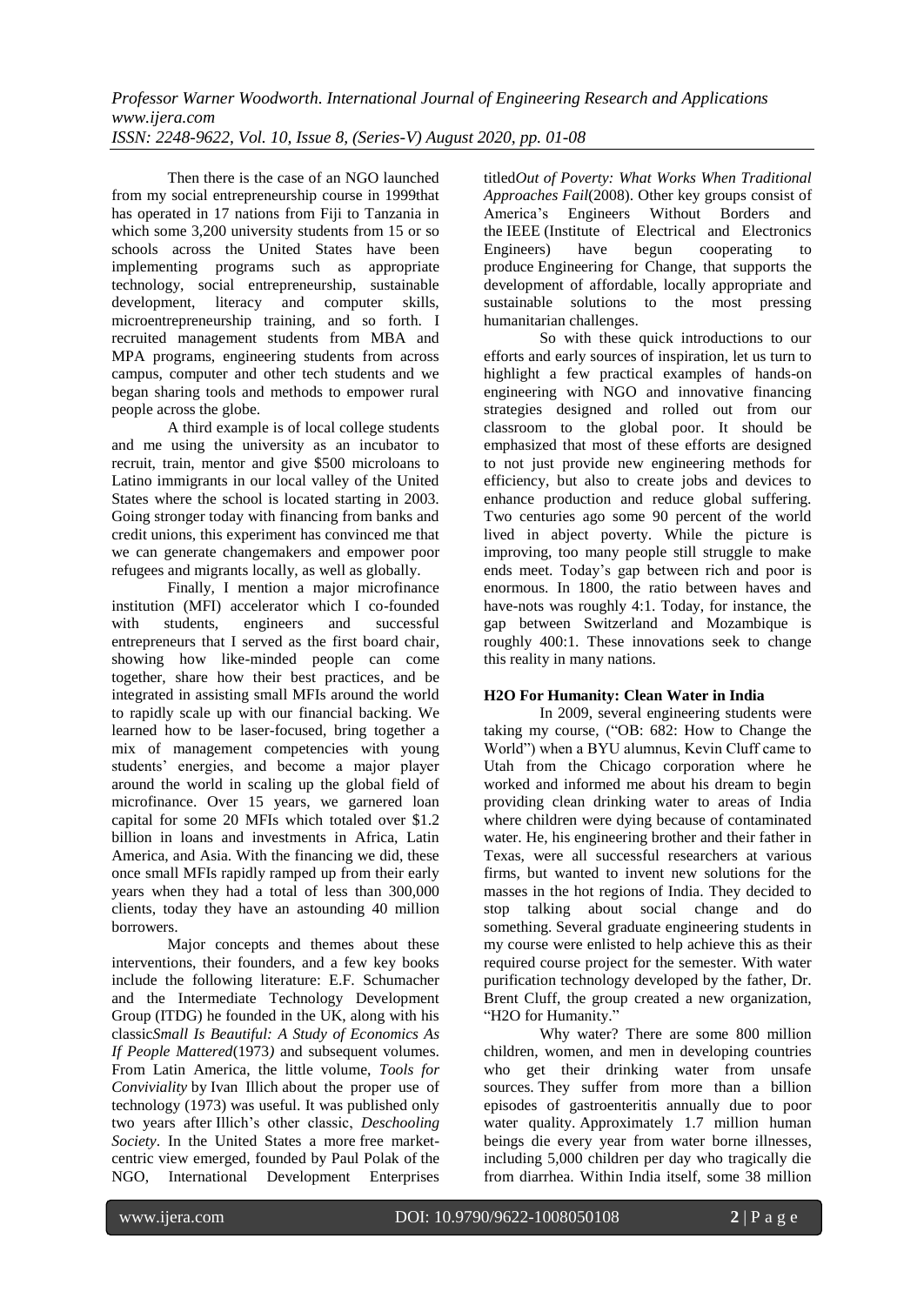Then there is the case of an NGO launched from my social entrepreneurship course in 1999that has operated in 17 nations from Fiji to Tanzania in which some 3,200 university students from 15 or so schools across the United States have been implementing programs such as appropriate technology, social entrepreneurship, sustainable development, literacy and computer skills, microentrepreneurship training, and so forth. I recruited management students from MBA and MPA programs, engineering students from across campus, computer and other tech students and we began sharing tools and methods to empower rural people across the globe.

A third example is of local college students and me using the university as an incubator to recruit, train, mentor and give \$500 microloans to Latino immigrants in our local valley of the United States where the school is located starting in 2003. Going stronger today with financing from banks and credit unions, this experiment has convinced me that we can generate changemakers and empower poor refugees and migrants locally, as well as globally.

Finally, I mention a major microfinance institution (MFI) accelerator which I co-founded with students, engineers and successful entrepreneurs that I served as the first board chair, showing how like-minded people can come together, share how their best practices, and be integrated in assisting small MFIs around the world to rapidly scale up with our financial backing. We learned how to be laser-focused, bring together a mix of management competencies with young students' energies, and become a major player around the world in scaling up the global field of microfinance. Over 15 years, we garnered loan capital for some 20 MFIs which totaled over \$1.2 billion in loans and investments in Africa, Latin America, and Asia. With the financing we did, these once small MFIs rapidly ramped up from their early years when they had a total of less than 300,000 clients, today they have an astounding 40 million borrowers.

Major concepts and themes about these interventions, their founders, and a few key books include the following literature: E.F. Schumacher and the [Intermediate Technology Development](https://en.wikipedia.org/wiki/Intermediate_Technology_Development_Group)  [Group](https://en.wikipedia.org/wiki/Intermediate_Technology_Development_Group) (ITDG) he founded in the UK, along with his classic*[Small Is Beautiful: A Study of Economics As](https://en.wikipedia.org/wiki/Small_Is_Beautiful:_A_Study_of_Economics_As_If_People_Mattered)  [If People Mattered](https://en.wikipedia.org/wiki/Small_Is_Beautiful:_A_Study_of_Economics_As_If_People_Mattered)*(1973*)* and subsequent volumes. From Latin America, the little volume, *Tools for Conviviality* by [Ivan Illich](https://en.wikipedia.org/wiki/Ivan_Illich) about the proper use of technology (1973) was useful. It was published only two years after Illich's other classic, *[Deschooling](https://en.wikipedia.org/wiki/Deschooling_Society)  [Society](https://en.wikipedia.org/wiki/Deschooling_Society)*. In the United States a more [free market](https://en.wikipedia.org/wiki/Free_market)centric view emerged, founded by [Paul Polak](https://en.wikipedia.org/wiki/Paul_Polak) of the NGO, [International Development Enterprises](https://en.wikipedia.org/wiki/International_Development_Enterprises) titled*Out of Poverty: What Works When Traditional Approaches Fail*(2008). Other key groups consist of America's Engineers Without Borders and the [IEEE](https://en.wikipedia.org/wiki/IEEE) (Institute of Electrical and Electronics Engineers) have begun cooperating to produce [Engineering for Change,](https://en.wikipedia.org/wiki/Engineering_for_Change) that supports the development of affordable, locally appropriate and sustainable solutions to the most pressing humanitarian challenges.

So with these quick introductions to our efforts and early sources of inspiration, let us turn to highlight a few practical examples of hands-on engineering with NGO and innovative financing strategies designed and rolled out from our classroom to the global poor. It should be emphasized that most of these efforts are designed to not just provide new engineering methods for efficiency, but also to create jobs and devices to enhance production and reduce global suffering. Two centuries ago some 90 percent of the world lived in abject poverty. While the picture is improving, too many people still struggle to make ends meet. Today's gap between rich and poor is enormous. In 1800, the ratio between haves and have-nots was roughly 4:1. Today, for instance, the gap between Switzerland and Mozambique is roughly 400:1. These innovations seek to change this reality in many nations.

## **H2O For Humanity: Clean Water in India**

In 2009, several engineering students were taking my course, ("OB: 682: How to Change the World") when a BYU alumnus, Kevin Cluff came to Utah from the Chicago corporation where he worked and informed me about his dream to begin providing clean drinking water to areas of India where children were dying because of contaminated water. He, his engineering brother and their father in Texas, were all successful researchers at various firms, but wanted to invent new solutions for the masses in the hot regions of India. They decided to stop talking about social change and do something. Several graduate engineering students in my course were enlisted to help achieve this as their required course project for the semester. With water purification technology developed by the father, Dr. Brent Cluff, the group created a new organization, "H2O for Humanity."

Why water? There are some 800 million children, women, and men in developing countries who get their drinking water from unsafe sources. They suffer from more than a billion episodes of gastroenteritis annually due to poor water quality. Approximately 1.7 million human beings die every year from water borne illnesses, including 5,000 children per day who tragically die from diarrhea. Within India itself, some 38 million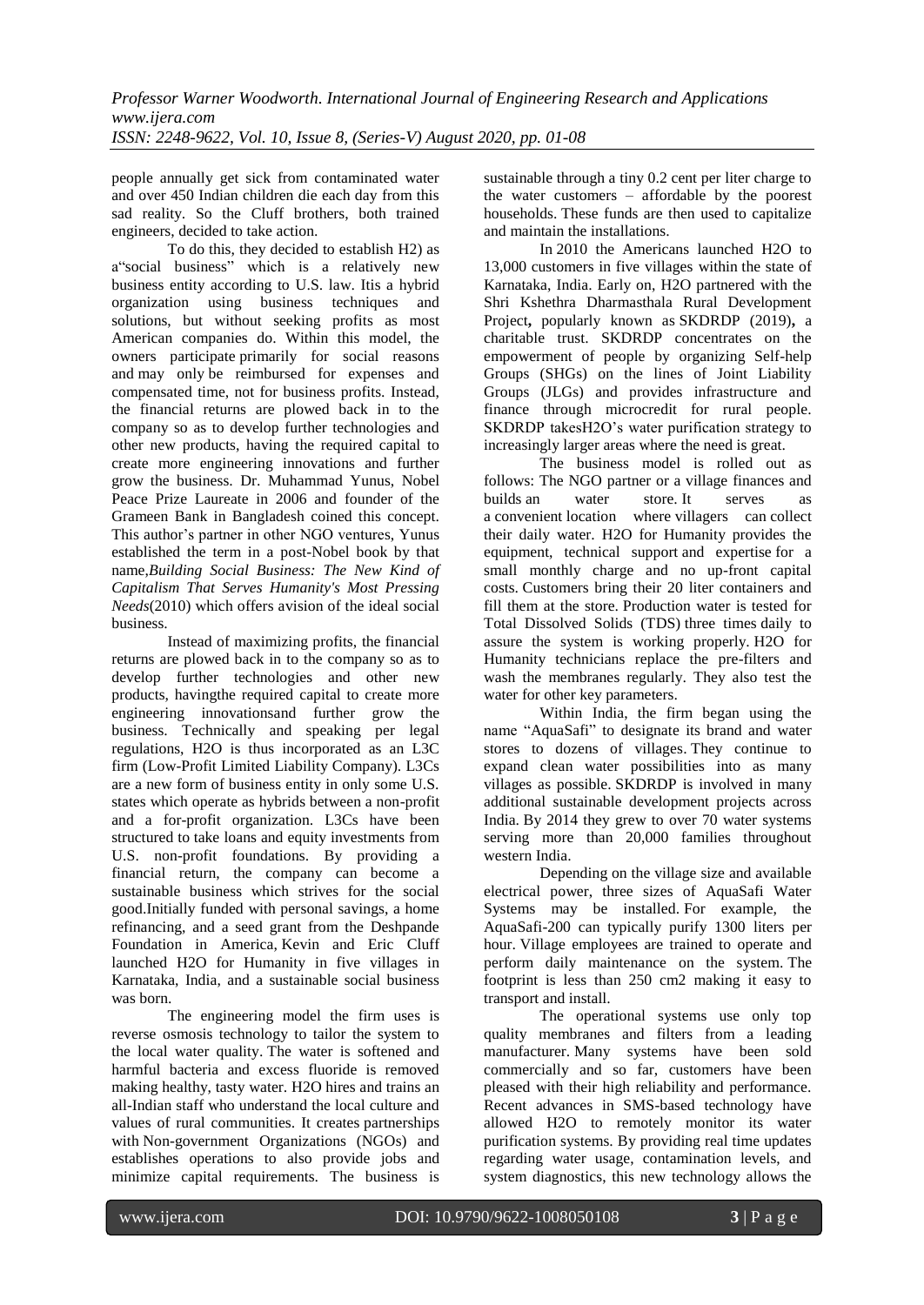people annually get sick from contaminated water and over 450 Indian children die each day from this sad reality. So the Cluff brothers, both trained engineers, decided to take action.

To do this, they decided to establish H2) as a"social business" which is a relatively new business entity according to U.S. law. Itis a hybrid organization using business techniques and solutions, but without seeking profits as most American companies do. Within this model, the owners participate primarily for social reasons and may only be reimbursed for expenses and compensated time, not for business profits. Instead, the financial returns are plowed back in to the company so as to develop further technologies and other new products, having the required capital to create more engineering innovations and further grow the business. Dr. [Muhammad Yunus,](http://www.muhammadyunus.org/) Nobel Peace Prize Laureate in 2006 and founder of the Grameen Bank in Bangladesh coined this concept. This author's partner in other NGO ventures, Yunus established the term in a post-Nobel book by that name,*Building Social Business: The New Kind of Capitalism That Serves Humanity's Most Pressing Needs*(2010) which offers avision of the ideal social business.

Instead of maximizing profits, the financial returns are plowed back in to the company so as to develop further technologies and other new products, havingthe required capital to create more engineering innovationsand further grow the business. Technically and speaking per legal regulations, H2O is thus incorporated as an L3C firm (Low-Profit Limited Liability Company). L3Cs are a new form of business entity in only some U.S. states which operate as hybrids between a non-profit and a for-profit organization. L3Cs have been structured to take loans and equity investments from U.S. non-profit foundations. By providing a financial return, the company can become a sustainable business which strives for the social good.Initially funded with personal savings, a home refinancing, and a seed grant from the Deshpande Foundation in America, Kevin and Eric Cluff launched H2O for Humanity in five villages in Karnataka, India, and a sustainable social business was born.

The engineering model the firm uses is reverse osmosis technology to tailor the system to the local water quality. The water is softened and harmful bacteria and excess fluoride is removed making healthy, tasty water. H2O hires and trains an all-Indian staff who understand the local culture and values of rural communities. It creates partnerships with Non-government Organizations (NGOs) and establishes operations to also provide jobs and minimize capital requirements. The business is sustainable through a tiny 0.2 cent per liter charge to the water customers – affordable by the poorest households. These funds are then used to capitalize and maintain the installations.

In 2010 the Americans launched H2O to 13,000 customers in five villages within the state of Karnataka, India. Early on, H2O partnered with the Shri Kshethra Dharmasthala Rural Development Project**,** popularly known as SKDRDP (2019)**,** a charitable trust. SKDRDP concentrates on the empowerment of people by organizing Self-help Groups (SHGs) on the lines of Joint Liability Groups (JLGs) and provides infrastructure and finance through microcredit for rural people. SKDRDP takesH2O's water purification strategy to increasingly larger areas where the need is great.

The business model is rolled out as follows: The NGO partner or a village finances and builds an water store. It serves as a convenient location where villagers can collect their daily water. H2O for Humanity provides the equipment, technical support and expertise for a small monthly charge and no up-front capital costs. Customers bring their 20 liter containers and fill them at the store. Production water is tested for Total Dissolved Solids (TDS) three times daily to assure the system is working properly. H2O for Humanity technicians replace the pre-filters and wash the membranes regularly. They also test the water for other key parameters.

Within India, the firm began using the name "AquaSafi" to designate its brand and water stores to dozens of villages. They continue to expand clean water possibilities into as many villages as possible. SKDRDP is involved in many additional sustainable development projects across India. By 2014 they grew to over 70 water systems serving more than 20,000 families throughout western India.

Depending on the village size and available electrical power, three sizes of AquaSafi Water Systems may be installed. For example, the AquaSafi-200 can typically purify 1300 liters per hour. Village employees are trained to operate and perform daily maintenance on the system. The footprint is less than 250 cm2 making it easy to transport and install.

The operational systems use only top quality membranes and filters from a leading manufacturer. Many systems have been sold commercially and so far, customers have been pleased with their high reliability and performance. Recent advances in SMS-based technology have allowed H2O to remotely monitor its water purification systems. By providing real time updates regarding water usage, contamination levels, and system diagnostics, this new technology allows the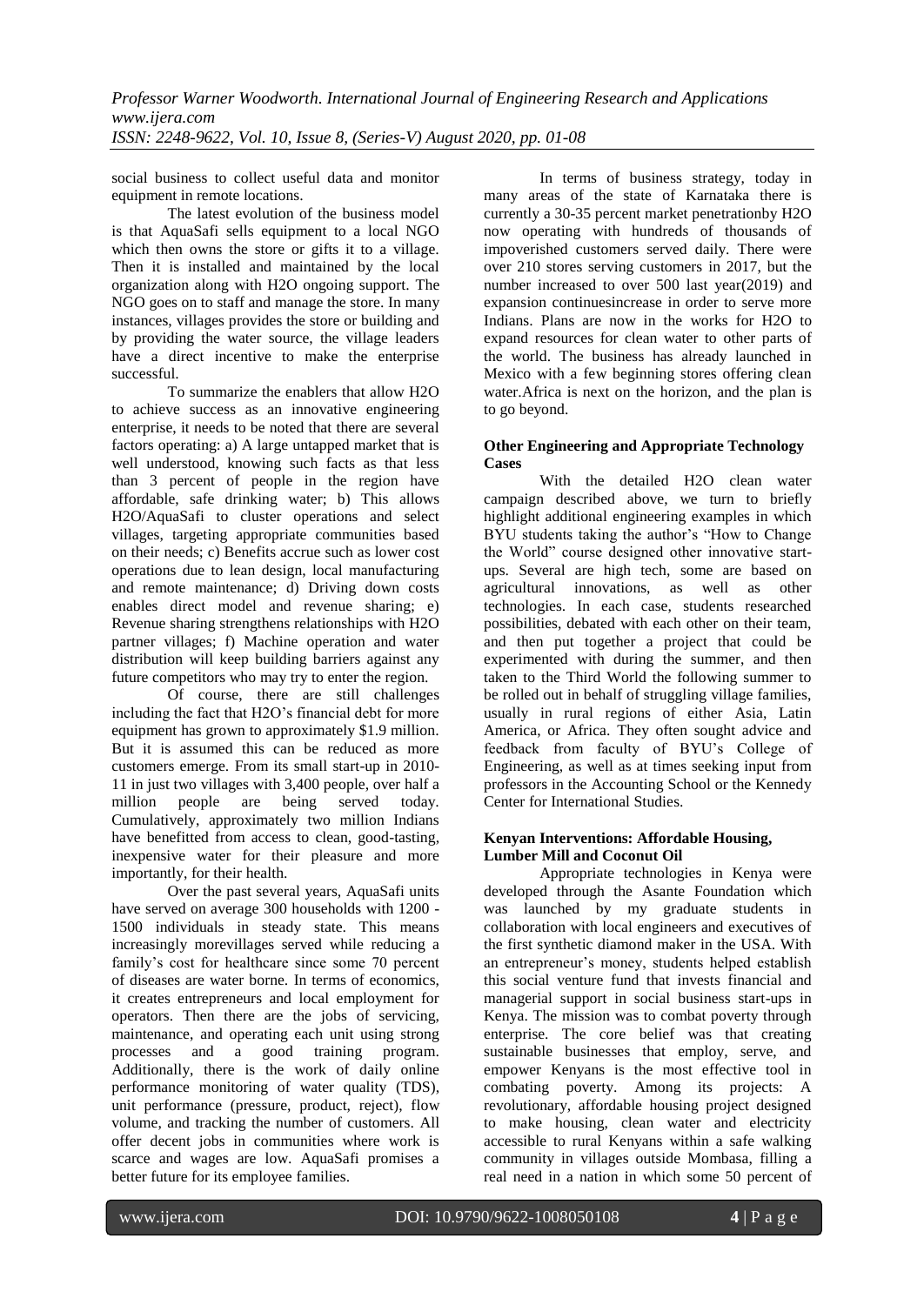social business to collect useful data and monitor equipment in remote locations.

The latest evolution of the business model is that AquaSafi sells equipment to a local NGO which then owns the store or gifts it to a village. Then it is installed and maintained by the local organization along with H2O ongoing support. The NGO goes on to staff and manage the store. In many instances, villages provides the store or building and by providing the water source, the village leaders have a direct incentive to make the enterprise successful.

To summarize the enablers that allow H2O to achieve success as an innovative engineering enterprise, it needs to be noted that there are several factors operating: a) A large untapped market that is well understood, knowing such facts as that less than 3 percent of people in the region have affordable, safe drinking water; b) This allows H2O/AquaSafi to cluster operations and select villages, targeting appropriate communities based on their needs; c) Benefits accrue such as lower cost operations due to lean design, local manufacturing and remote maintenance; d) Driving down costs enables direct model and revenue sharing; e) Revenue sharing strengthens relationships with H2O partner villages; f) Machine operation and water distribution will keep building barriers against any future competitors who may try to enter the region.

Of course, there are still challenges including the fact that H2O's financial debt for more equipment has grown to approximately \$1.9 million. But it is assumed this can be reduced as more customers emerge. From its small start-up in 2010- 11 in just two villages with 3,400 people, over half a million people are being served today. Cumulatively, approximately two million Indians have benefitted from access to clean, good-tasting, inexpensive water for their pleasure and more importantly, for their health.

Over the past several years, AquaSafi units have served on average 300 households with 1200 - 1500 individuals in steady state. This means increasingly morevillages served while reducing a family's cost for healthcare since some 70 percent of diseases are water borne. In terms of economics, it creates entrepreneurs and local employment for operators. Then there are the jobs of servicing, maintenance, and operating each unit using strong processes and a good training program. Additionally, there is the work of daily online performance monitoring of water quality (TDS), unit performance (pressure, product, reject), flow volume, and tracking the number of customers. All offer decent jobs in communities where work is scarce and wages are low. AquaSafi promises a better future for its employee families.

In terms of business strategy, today in many areas of the state of Karnataka there is currently a 30-35 percent market penetrationby H2O now operating with hundreds of thousands of impoverished customers served daily. There were over 210 stores serving customers in 2017, but the number increased to over 500 last year(2019) and expansion continuesincrease in order to serve more Indians. Plans are now in the works for H2O to expand resources for clean water to other parts of the world. The business has already launched in Mexico with a few beginning stores offering clean water.Africa is next on the horizon, and the plan is to go beyond.

#### **Other Engineering and Appropriate Technology Cases**

With the detailed H2O clean water campaign described above, we turn to briefly highlight additional engineering examples in which BYU students taking the author's "How to Change the World" course designed other innovative startups. Several are high tech, some are based on agricultural innovations, as well as other technologies. In each case, students researched possibilities, debated with each other on their team, and then put together a project that could be experimented with during the summer, and then taken to the Third World the following summer to be rolled out in behalf of struggling village families, usually in rural regions of either Asia, Latin America, or Africa. They often sought advice and feedback from faculty of BYU's College of Engineering, as well as at times seeking input from professors in the Accounting School or the Kennedy Center for International Studies.

#### **Kenyan Interventions: Affordable Housing, Lumber Mill and Coconut Oil**

Appropriate technologies in Kenya were developed through the Asante Foundation which was launched by my graduate students in collaboration with local engineers and executives of the first synthetic diamond maker in the USA. With an entrepreneur's money, students helped establish this social venture fund that invests financial and managerial support in social business start-ups in Kenya. The mission was to combat poverty through enterprise. The core belief was that creating sustainable businesses that employ, serve, and empower Kenyans is the most effective tool in combating poverty. Among its projects: A revolutionary, affordable housing project designed to make housing, clean water and electricity accessible to rural Kenyans within a safe walking community in villages outside Mombasa, filling a real need in a nation in which some 50 percent of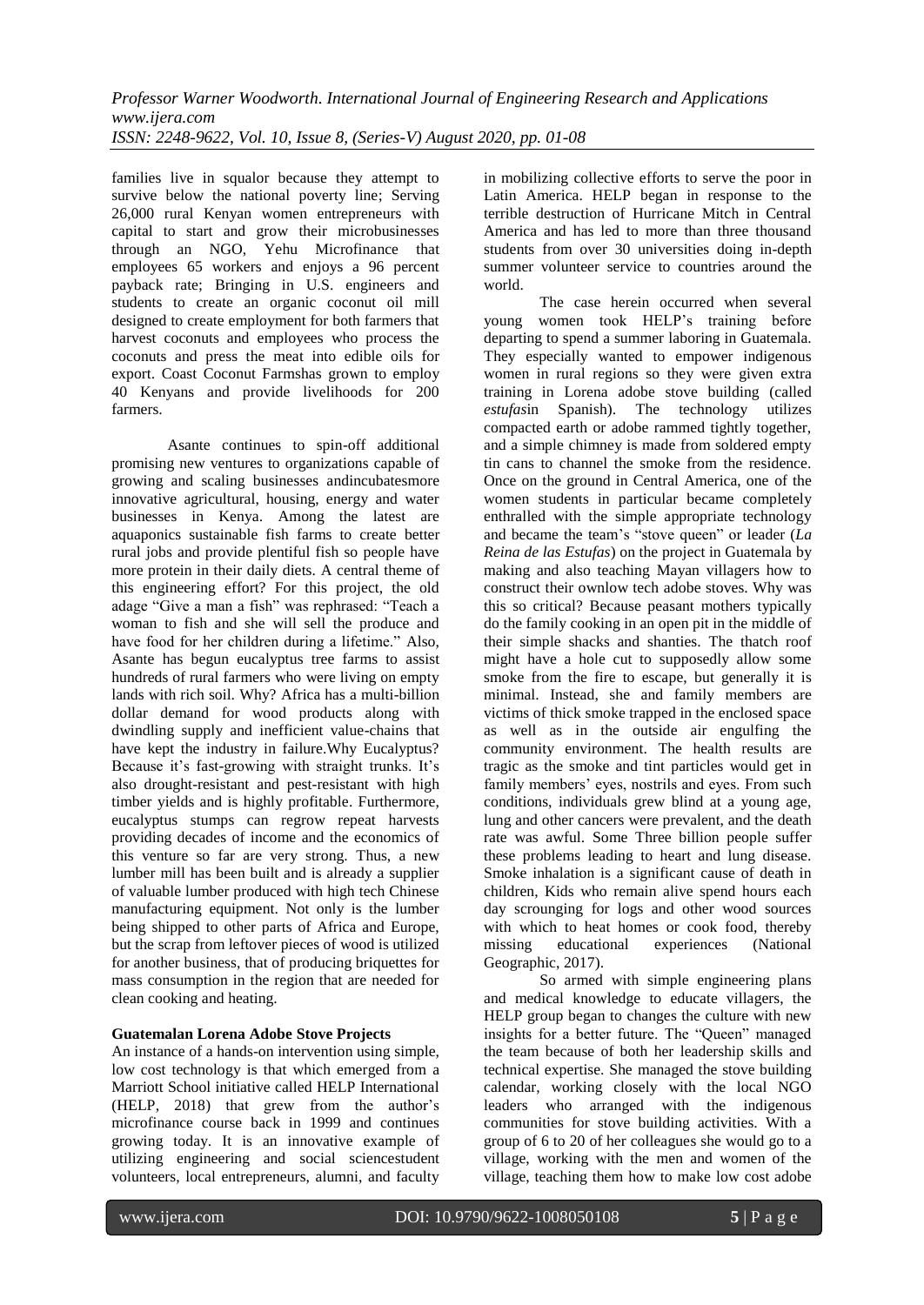families live in squalor because they attempt to survive below the national poverty line; Serving 26,000 rural Kenyan women entrepreneurs with capital to start and grow their microbusinesses through an NGO, Yehu Microfinance that employees 65 workers and enjoys a 96 percent payback rate; Bringing in U.S. engineers and students to create an organic coconut oil mill designed to create employment for both farmers that harvest coconuts and employees who process the coconuts and press the meat into edible oils for export. Coast Coconut Farmshas grown to employ 40 Kenyans and provide livelihoods for 200 farmers.

Asante continues to spin-off additional promising new ventures to organizations capable of growing and scaling businesses andincubatesmore innovative agricultural, housing, energy and water businesses in Kenya. Among the latest are aquaponics sustainable fish farms to create better rural jobs and provide plentiful fish so people have more protein in their daily diets. A central theme of this engineering effort? For this project, the old adage "Give a man a fish" was rephrased: "Teach a woman to fish and she will sell the produce and have food for her children during a lifetime." Also, Asante has begun eucalyptus tree farms to assist hundreds of rural farmers who were living on empty lands with rich soil. Why? Africa has a multi-billion dollar demand for wood products along with dwindling supply and inefficient value-chains that have kept the industry in failure.Why Eucalyptus? Because it's fast-growing with straight trunks. It's also drought-resistant and pest-resistant with high timber yields and is highly profitable. Furthermore, eucalyptus stumps can regrow repeat harvests providing decades of income and the economics of this venture so far are very strong. Thus, a new lumber mill has been built and is already a supplier of valuable lumber produced with high tech Chinese manufacturing equipment. Not only is the lumber being shipped to other parts of Africa and Europe, but the scrap from leftover pieces of wood is utilized for another business, that of producing briquettes for mass consumption in the region that are needed for clean cooking and heating.

## **Guatemalan Lorena Adobe Stove Projects**

An instance of a hands-on intervention using simple, low cost technology is that which emerged from a Marriott School initiative called HELP International (HELP, 2018) that grew from the author's microfinance course back in 1999 and continues growing today. It is an innovative example of utilizing engineering and social sciencestudent volunteers, local entrepreneurs, alumni, and faculty in mobilizing collective efforts to serve the poor in Latin America. HELP began in response to the terrible destruction of Hurricane Mitch in Central America and has led to more than three thousand students from over 30 universities doing in-depth summer volunteer service to countries around the world.

The case herein occurred when several young women took HELP's training before departing to spend a summer laboring in Guatemala. They especially wanted to empower indigenous women in rural regions so they were given extra training in Lorena adobe stove building (called *estufas*in Spanish). The technology utilizes compacted earth or adobe rammed tightly together, and a simple chimney is made from soldered empty tin cans to channel the smoke from the residence. Once on the ground in Central America, one of the women students in particular became completely enthralled with the simple appropriate technology and became the team's "stove queen" or leader (*La Reina de las Estufas*) on the project in Guatemala by making and also teaching Mayan villagers how to construct their ownlow tech adobe stoves. Why was this so critical? Because peasant mothers typically do the family cooking in an open pit in the middle of their simple shacks and shanties. The thatch roof might have a hole cut to supposedly allow some smoke from the fire to escape, but generally it is minimal. Instead, she and family members are victims of thick smoke trapped in the enclosed space as well as in the outside air engulfing the community environment. The health results are tragic as the smoke and tint particles would get in family members' eyes, nostrils and eyes. From such conditions, individuals grew blind at a young age, lung and other cancers were prevalent, and the death rate was awful. Some Three billion people suffer these problems leading to heart and lung disease. Smoke inhalation is a significant cause of death in children, Kids who remain alive spend hours each day scrounging for logs and other wood sources with which to heat homes or cook food, thereby missing educational experiences (National Geographic, 2017).

So armed with simple engineering plans and medical knowledge to educate villagers, the HELP group began to changes the culture with new insights for a better future. The "Queen" managed the team because of both her leadership skills and technical expertise. She managed the stove building calendar, working closely with the local NGO leaders who arranged with the indigenous communities for stove building activities. With a group of 6 to 20 of her colleagues she would go to a village, working with the men and women of the village, teaching them how to make low cost adobe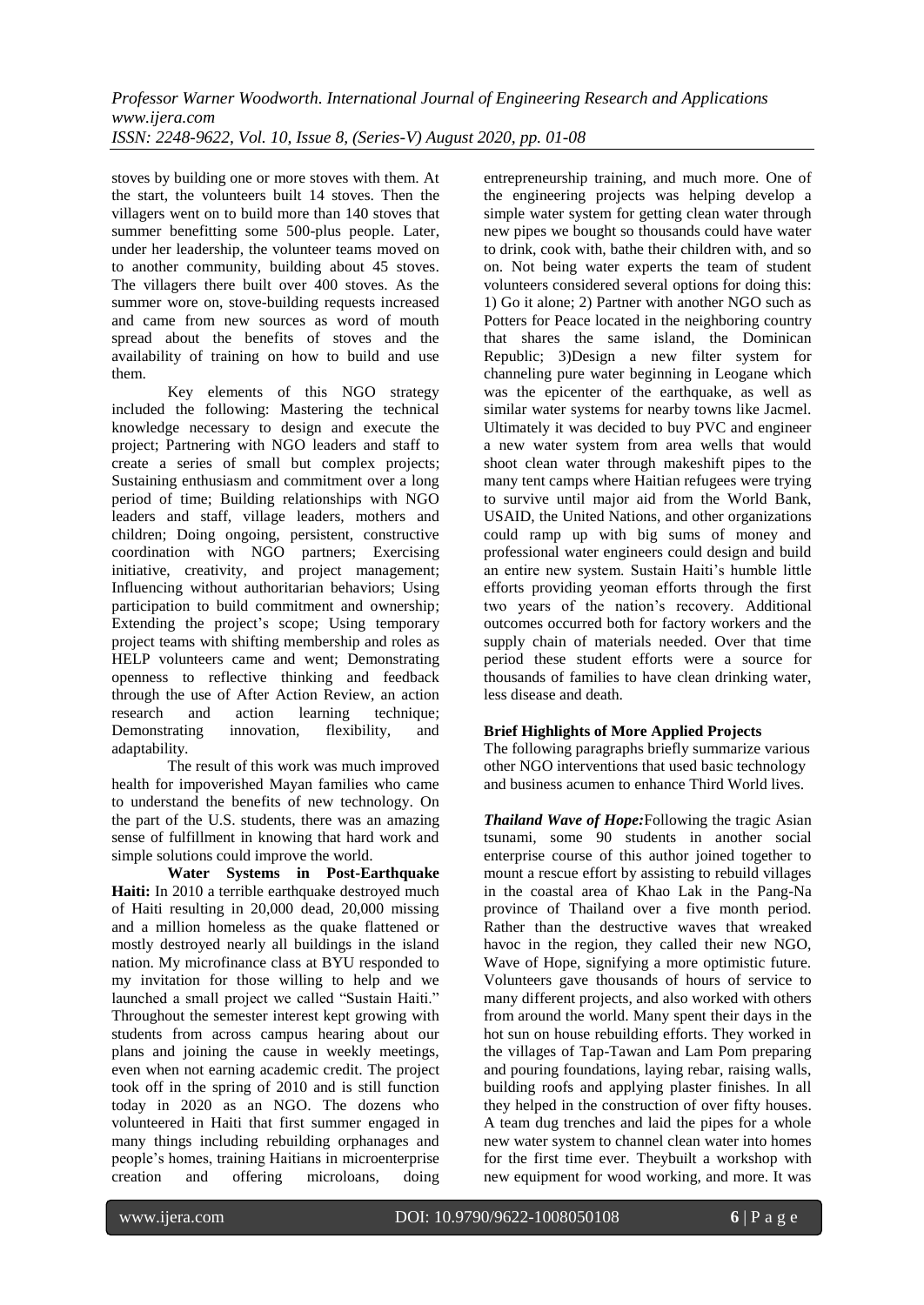stoves by building one or more stoves with them. At the start, the volunteers built 14 stoves. Then the villagers went on to build more than 140 stoves that summer benefitting some 500-plus people. Later, under her leadership, the volunteer teams moved on to another community, building about 45 stoves. The villagers there built over 400 stoves. As the summer wore on, stove-building requests increased and came from new sources as word of mouth spread about the benefits of stoves and the availability of training on how to build and use them.

Key elements of this NGO strategy included the following: Mastering the technical knowledge necessary to design and execute the project; Partnering with NGO leaders and staff to create a series of small but complex projects; Sustaining enthusiasm and commitment over a long period of time; Building relationships with NGO leaders and staff, village leaders, mothers and children; Doing ongoing, persistent, constructive coordination with NGO partners; Exercising initiative, creativity, and project management; Influencing without authoritarian behaviors; Using participation to build commitment and ownership; Extending the project's scope; Using temporary project teams with shifting membership and roles as HELP volunteers came and went; Demonstrating openness to reflective thinking and feedback through the use of After Action Review, an action research and action learning technique; Demonstrating innovation, flexibility, and adaptability.

The result of this work was much improved health for impoverished Mayan families who came to understand the benefits of new technology. On the part of the U.S. students, there was an amazing sense of fulfillment in knowing that hard work and simple solutions could improve the world.

**Water Systems in Post-Earthquake Haiti:** In 2010 a terrible earthquake destroyed much of Haiti resulting in 20,000 dead, 20,000 missing and a million homeless as the quake flattened or mostly destroyed nearly all buildings in the island nation. My microfinance class at BYU responded to my invitation for those willing to help and we launched a small project we called "Sustain Haiti." Throughout the semester interest kept growing with students from across campus hearing about our plans and joining the cause in weekly meetings, even when not earning academic credit. The project took off in the spring of 2010 and is still function today in 2020 as an NGO. The dozens who volunteered in Haiti that first summer engaged in many things including rebuilding orphanages and people's homes, training Haitians in microenterprise creation and offering microloans, doing entrepreneurship training, and much more. One of the engineering projects was helping develop a simple water system for getting clean water through new pipes we bought so thousands could have water to drink, cook with, bathe their children with, and so on. Not being water experts the team of student volunteers considered several options for doing this: 1) Go it alone; 2) Partner with another NGO such as Potters for Peace located in the neighboring country that shares the same island, the Dominican Republic; 3)Design a new filter system for channeling pure water beginning in Leogane which was the epicenter of the earthquake, as well as similar water systems for nearby towns like Jacmel. Ultimately it was decided to buy PVC and engineer a new water system from area wells that would shoot clean water through makeshift pipes to the many tent camps where Haitian refugees were trying to survive until major aid from the World Bank, USAID, the United Nations, and other organizations could ramp up with big sums of money and professional water engineers could design and build an entire new system. Sustain Haiti's humble little efforts providing yeoman efforts through the first two years of the nation's recovery. Additional outcomes occurred both for factory workers and the supply chain of materials needed. Over that time period these student efforts were a source for thousands of families to have clean drinking water, less disease and death.

## **Brief Highlights of More Applied Projects**

The following paragraphs briefly summarize various other NGO interventions that used basic technology and business acumen to enhance Third World lives.

*Thailand Wave of Hope:*Following the tragic Asian tsunami, some 90 students in another social enterprise course of this author joined together to mount a rescue effort by assisting to rebuild villages in the coastal area of Khao Lak in the Pang-Na province of Thailand over a five month period. Rather than the destructive waves that wreaked havoc in the region, they called their new NGO, Wave of Hope, signifying a more optimistic future. Volunteers gave thousands of hours of service to many different projects, and also worked with others from around the world. Many spent their days in the hot sun on house rebuilding efforts. They worked in the villages of Tap-Tawan and Lam Pom preparing and pouring foundations, laying rebar, raising walls, building roofs and applying plaster finishes. In all they helped in the construction of over fifty houses. A team dug trenches and laid the pipes for a whole new water system to channel clean water into homes for the first time ever. Theybuilt a workshop with new equipment for wood working, and more. It was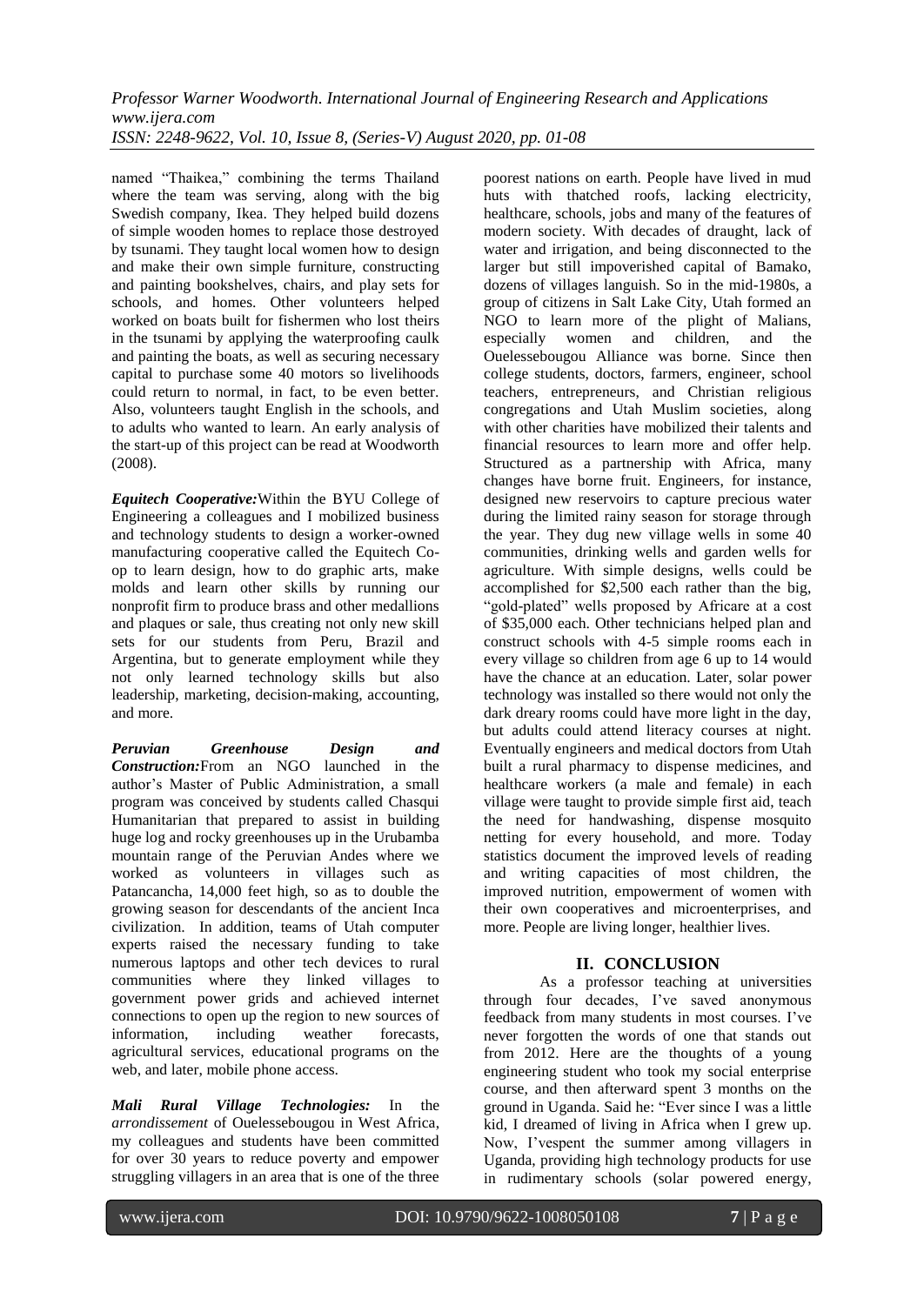named "Thaikea," combining the terms Thailand where the team was serving, along with the big Swedish company, Ikea. They helped build dozens of simple wooden homes to replace those destroyed by tsunami. They taught local women how to design and make their own simple furniture, constructing and painting bookshelves, chairs, and play sets for schools, and homes. Other volunteers helped worked on boats built for fishermen who lost theirs in the tsunami by applying the waterproofing caulk and painting the boats, as well as securing necessary capital to purchase some 40 motors so livelihoods could return to normal, in fact, to be even better. Also, volunteers taught English in the schools, and to adults who wanted to learn. An early analysis of the start-up of this project can be read at Woodworth (2008).

*Equitech Cooperative:*Within the BYU College of Engineering a colleagues and I mobilized business and technology students to design a worker-owned manufacturing cooperative called the Equitech Coop to learn design, how to do graphic arts, make molds and learn other skills by running our nonprofit firm to produce brass and other medallions and plaques or sale, thus creating not only new skill sets for our students from Peru, Brazil and Argentina, but to generate employment while they not only learned technology skills but also leadership, marketing, decision-making, accounting, and more.

*Peruvian Greenhouse Design and Construction:*From an NGO launched in the author's Master of Public Administration, a small program was conceived by students called Chasqui Humanitarian that prepared to assist in building huge log and rocky greenhouses up in the Urubamba mountain range of the Peruvian Andes where we worked as volunteers in villages such as Patancancha, 14,000 feet high, so as to double the growing season for descendants of the ancient Inca civilization. In addition, teams of Utah computer experts raised the necessary funding to take numerous laptops and other tech devices to rural communities where they linked villages to government power grids and achieved internet connections to open up the region to new sources of information, including weather forecasts, agricultural services, educational programs on the web, and later, mobile phone access.

*Mali Rural Village Technologies:* In the *arrondissement* of Ouelessebougou in West Africa, my colleagues and students have been committed for over 30 years to reduce poverty and empower struggling villagers in an area that is one of the three poorest nations on earth. People have lived in mud huts with thatched roofs, lacking electricity, healthcare, schools, jobs and many of the features of modern society. With decades of draught, lack of water and irrigation, and being disconnected to the larger but still impoverished capital of Bamako, dozens of villages languish. So in the mid-1980s, a group of citizens in Salt Lake City, Utah formed an NGO to learn more of the plight of Malians, especially women and children, and the Ouelessebougou Alliance was borne. Since then college students, doctors, farmers, engineer, school teachers, entrepreneurs, and Christian religious congregations and Utah Muslim societies, along with other charities have mobilized their talents and financial resources to learn more and offer help. Structured as a partnership with Africa, many changes have borne fruit. Engineers, for instance, designed new reservoirs to capture precious water during the limited rainy season for storage through the year. They dug new village wells in some 40 communities, drinking wells and garden wells for agriculture. With simple designs, wells could be accomplished for \$2,500 each rather than the big, "gold-plated" wells proposed by Africare at a cost of \$35,000 each. Other technicians helped plan and construct schools with 4-5 simple rooms each in every village so children from age 6 up to 14 would have the chance at an education. Later, solar power technology was installed so there would not only the dark dreary rooms could have more light in the day, but adults could attend literacy courses at night. Eventually engineers and medical doctors from Utah built a rural pharmacy to dispense medicines, and healthcare workers (a male and female) in each village were taught to provide simple first aid, teach the need for handwashing, dispense mosquito netting for every household, and more. Today statistics document the improved levels of reading and writing capacities of most children, the improved nutrition, empowerment of women with their own cooperatives and microenterprises, and more. People are living longer, healthier lives.

## **II. CONCLUSION**

As a professor teaching at universities through four decades, I've saved anonymous feedback from many students in most courses. I've never forgotten the words of one that stands out from 2012. Here are the thoughts of a young engineering student who took my social enterprise course, and then afterward spent 3 months on the ground in Uganda. Said he: "Ever since I was a little kid, I dreamed of living in Africa when I grew up. Now, I'vespent the summer among villagers in Uganda, providing high technology products for use in rudimentary schools (solar powered energy,